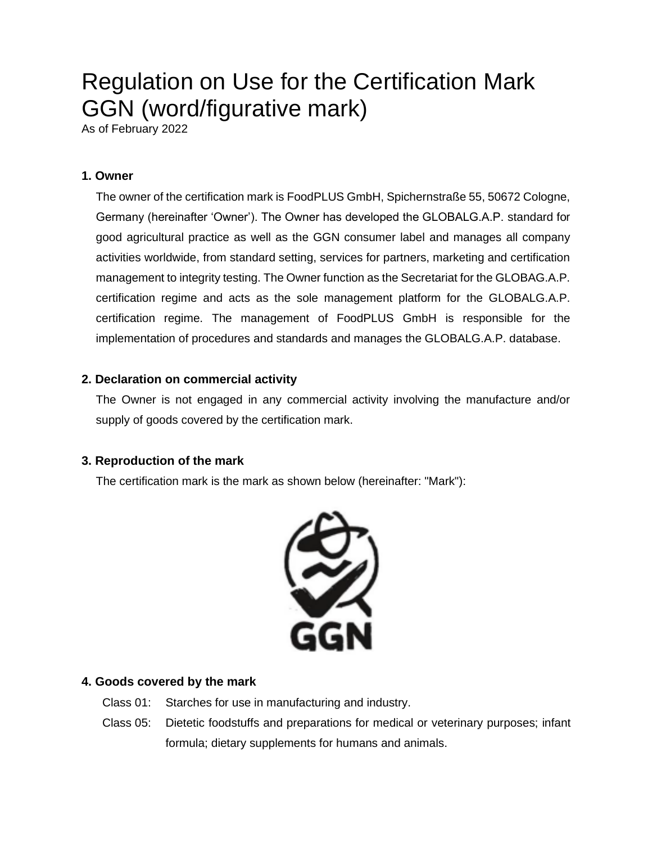# Regulation on Use for the Certification Mark GGN (word/figurative mark)

As of February 2022

# **1. Owner**

The owner of the certification mark is FoodPLUS GmbH, Spichernstraße 55, 50672 Cologne, Germany (hereinafter 'Owner'). The Owner has developed the GLOBALG.A.P. standard for good agricultural practice as well as the GGN consumer label and manages all company activities worldwide, from standard setting, services for partners, marketing and certification management to integrity testing. The Owner function as the Secretariat for the GLOBAG.A.P. certification regime and acts as the sole management platform for the GLOBALG.A.P. certification regime. The management of FoodPLUS GmbH is responsible for the implementation of procedures and standards and manages the GLOBALG.A.P. database.

# **2. Declaration on commercial activity**

The Owner is not engaged in any commercial activity involving the manufacture and/or supply of goods covered by the certification mark.

# **3. Reproduction of the mark**

The certification mark is the mark as shown below (hereinafter: "Mark"):



# **4. Goods covered by the mark**

- Class 01: Starches for use in manufacturing and industry.
- Class 05: Dietetic foodstuffs and preparations for medical or veterinary purposes; infant formula; dietary supplements for humans and animals.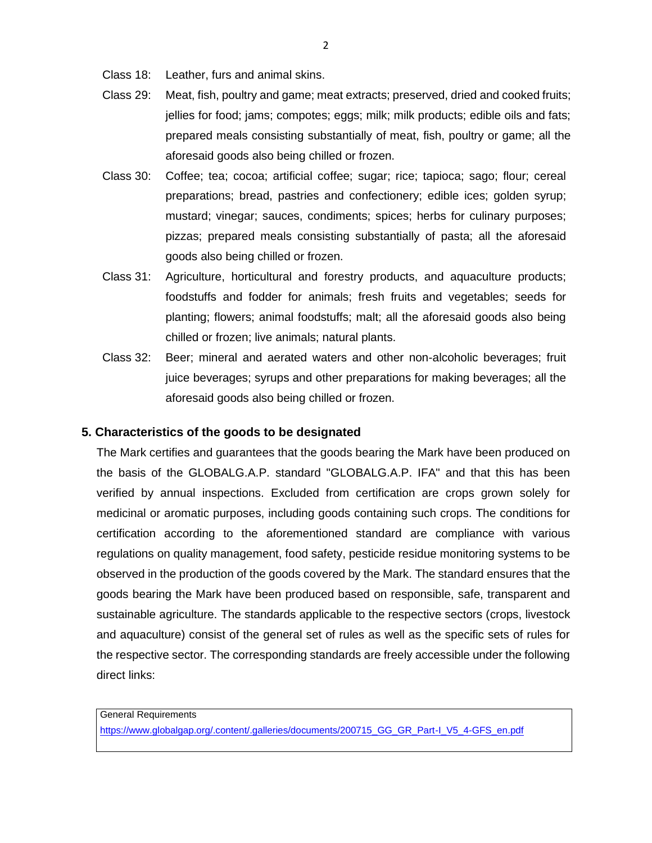- Class 18: Leather, furs and animal skins.
- Class 29: Meat, fish, poultry and game; meat extracts; preserved, dried and cooked fruits; jellies for food; jams; compotes; eggs; milk; milk products; edible oils and fats; prepared meals consisting substantially of meat, fish, poultry or game; all the aforesaid goods also being chilled or frozen.
- Class 30: Coffee; tea; cocoa; artificial coffee; sugar; rice; tapioca; sago; flour; cereal preparations; bread, pastries and confectionery; edible ices; golden syrup; mustard; vinegar; sauces, condiments; spices; herbs for culinary purposes; pizzas; prepared meals consisting substantially of pasta; all the aforesaid goods also being chilled or frozen.
- Class 31: Agriculture, horticultural and forestry products, and aquaculture products; foodstuffs and fodder for animals; fresh fruits and vegetables; seeds for planting; flowers; animal foodstuffs; malt; all the aforesaid goods also being chilled or frozen; live animals; natural plants.
- Class 32: Beer; mineral and aerated waters and other non-alcoholic beverages; fruit juice beverages; syrups and other preparations for making beverages; all the aforesaid goods also being chilled or frozen.

#### **5. Characteristics of the goods to be designated**

The Mark certifies and guarantees that the goods bearing the Mark have been produced on the basis of the GLOBALG.A.P. standard "GLOBALG.A.P. IFA" and that this has been verified by annual inspections. Excluded from certification are crops grown solely for medicinal or aromatic purposes, including goods containing such crops. The conditions for certification according to the aforementioned standard are compliance with various regulations on quality management, food safety, pesticide residue monitoring systems to be observed in the production of the goods covered by the Mark. The standard ensures that the goods bearing the Mark have been produced based on responsible, safe, transparent and sustainable agriculture. The standards applicable to the respective sectors (crops, livestock and aquaculture) consist of the general set of rules as well as the specific sets of rules for the respective sector. The corresponding standards are freely accessible under the following direct links:

General Requirements https://www.globalgap.org/.content/.galleries/documents/200715\_GG\_GR\_Part-I\_V5\_4-GFS\_en.pdf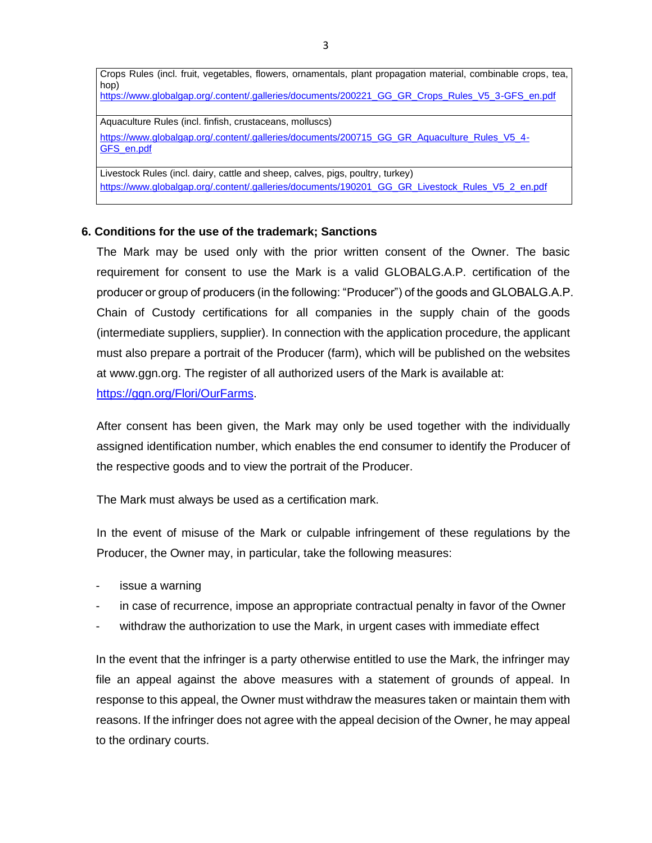Crops Rules (incl. fruit, vegetables, flowers, ornamentals, plant propagation material, combinable crops, tea, hop) https://www.globalgap.org/.content/.galleries/documents/200221\_GG\_GR\_Crops\_Rules\_V5\_3-GFS\_en.pdf Aquaculture Rules (incl. finfish, crustaceans, molluscs) https://www.globalgap.org/.content/.galleries/documents/200715\_GG\_GR\_Aquaculture\_Rules\_V5\_4-GFS\_en.pdf Livestock Rules (incl. dairy, cattle and sheep, calves, pigs, poultry, turkey)

https://www.globalgap.org/.content/.galleries/documents/190201\_GG\_GR\_Livestock\_Rules\_V5\_2\_en.pdf

#### **6. Conditions for the use of the trademark; Sanctions**

The Mark may be used only with the prior written consent of the Owner. The basic requirement for consent to use the Mark is a valid GLOBALG.A.P. certification of the producer or group of producers (in the following: "Producer") of the goods and GLOBALG.A.P. Chain of Custody certifications for all companies in the supply chain of the goods (intermediate suppliers, supplier). In connection with the application procedure, the applicant must also prepare a portrait of the Producer (farm), which will be published on the websites at www.ggn.org. The register of all authorized users of the Mark is available at: https://ggn.org/Flori/OurFarms.

After consent has been given, the Mark may only be used together with the individually assigned identification number, which enables the end consumer to identify the Producer of the respective goods and to view the portrait of the Producer.

The Mark must always be used as a certification mark.

In the event of misuse of the Mark or culpable infringement of these regulations by the Producer, the Owner may, in particular, take the following measures:

- issue a warning
- in case of recurrence, impose an appropriate contractual penalty in favor of the Owner
- withdraw the authorization to use the Mark, in urgent cases with immediate effect

In the event that the infringer is a party otherwise entitled to use the Mark, the infringer may file an appeal against the above measures with a statement of grounds of appeal. In response to this appeal, the Owner must withdraw the measures taken or maintain them with reasons. If the infringer does not agree with the appeal decision of the Owner, he may appeal to the ordinary courts.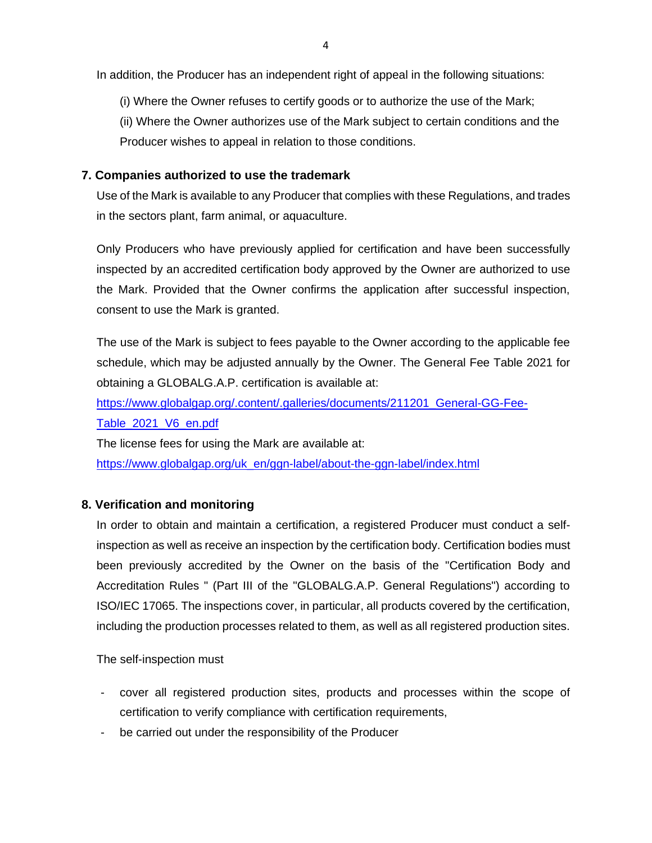In addition, the Producer has an independent right of appeal in the following situations:

(i) Where the Owner refuses to certify goods or to authorize the use of the Mark;

(ii) Where the Owner authorizes use of the Mark subject to certain conditions and the Producer wishes to appeal in relation to those conditions.

## **7. Companies authorized to use the trademark**

Use of the Mark is available to any Producer that complies with these Regulations, and trades in the sectors plant, farm animal, or aquaculture.

Only Producers who have previously applied for certification and have been successfully inspected by an accredited certification body approved by the Owner are authorized to use the Mark. Provided that the Owner confirms the application after successful inspection, consent to use the Mark is granted.

The use of the Mark is subject to fees payable to the Owner according to the applicable fee schedule, which may be adjusted annually by the Owner. The General Fee Table 2021 for obtaining a GLOBALG.A.P. certification is available at:

https://www.globalgap.org/.content/.galleries/documents/211201\_General-GG-Fee-

Table\_2021\_V6\_en.pdf

The license fees for using the Mark are available at:

https://www.globalgap.org/uk\_en/ggn-label/about-the-ggn-label/index.html

## **8. Verification and monitoring**

In order to obtain and maintain a certification, a registered Producer must conduct a selfinspection as well as receive an inspection by the certification body. Certification bodies must been previously accredited by the Owner on the basis of the "Certification Body and Accreditation Rules " (Part III of the "GLOBALG.A.P. General Regulations") according to ISO/IEC 17065. The inspections cover, in particular, all products covered by the certification, including the production processes related to them, as well as all registered production sites.

The self-inspection must

- cover all registered production sites, products and processes within the scope of certification to verify compliance with certification requirements,
- be carried out under the responsibility of the Producer